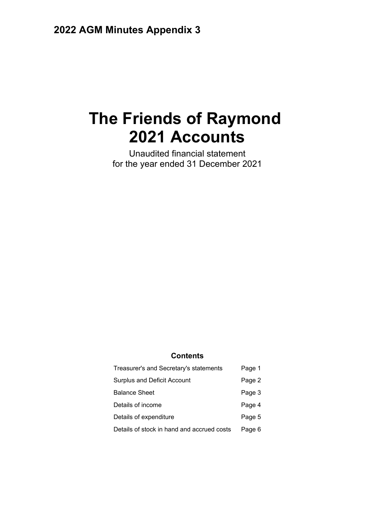# **The Friends of Raymond 2021 Accounts**

Unaudited financial statement for the year ended 31 December 2021

### **Contents**

| Treasurer's and Secretary's statements     | Page 1 |
|--------------------------------------------|--------|
| <b>Surplus and Deficit Account</b>         | Page 2 |
| <b>Balance Sheet</b>                       | Page 3 |
| Details of income                          | Page 4 |
| Details of expenditure                     | Page 5 |
| Details of stock in hand and accrued costs | Page 6 |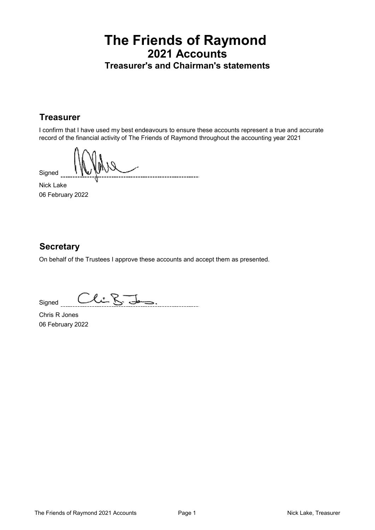### **The Friends of Raymond 2021 Accounts Treasurer's and Chairman's statements**

### **Treasurer**

I confirm that I have used my best endeavours to ensure these accounts represent a true and accurate record of the financial activity of The Friends of Raymond throughout the accounting year 2021

Signed

Nick Lake 06 February 2022

### **Secretary**

On behalf of the Trustees I approve these accounts and accept them as presented.

Clif-\_\_\_\_\_\_\_\_\_\_\_\_\_\_\_\_\_ Signed

Chris R Jones 06 February 2022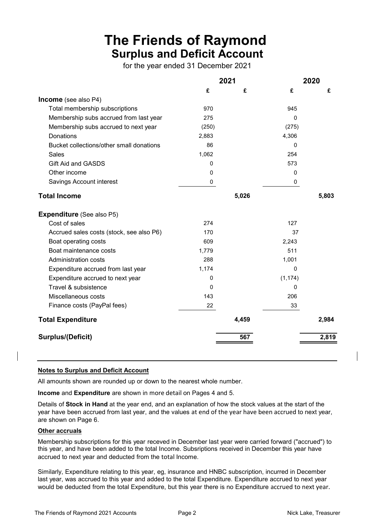# **The Friends of Raymond Surplus and Deficit Account**

for the year ended 31 December 2021

| 2021        |       | 2020         |       |
|-------------|-------|--------------|-------|
| £           | £     | £            | £     |
|             |       |              |       |
| 970         |       | 945          |       |
| 275         |       | 0            |       |
| (250)       |       | (275)        |       |
| 2,883       |       | 4,306        |       |
| 86          |       | 0            |       |
| 1,062       |       | 254          |       |
| $\mathbf 0$ |       | 573          |       |
| 0           |       | 0            |       |
| $\mathbf 0$ |       | 0            |       |
|             | 5,026 |              | 5,803 |
|             |       |              |       |
| 274         |       | 127          |       |
| 170         |       | 37           |       |
| 609         |       | 2,243        |       |
| 1,779       |       | 511          |       |
| 288         |       | 1,001        |       |
| 1,174       |       | $\mathbf{0}$ |       |
| 0           |       | (1, 174)     |       |
| 0           |       | 0            |       |
| 143         |       | 206          |       |
| 22          |       | 33           |       |
|             | 4,459 |              | 2,984 |
|             | 567   |              | 2,819 |
|             |       |              |       |

#### **Notes to Surplus and Deficit Account**

All amounts shown are rounded up or down to the nearest whole number.

**Income** and **Expenditure** are shown in more detail on Pages 4 and 5.

Details of **Stock in Hand** at the year end, and an explanation of how the stock values at the start of the year have been accrued from last year, and the values at end of the year have been accrued to next year, are shown on Page 6.

### **Other accruals**

Membership subscriptions for this year receved in December last year were carried forward ("accrued") to this year, and have been added to the total Income. Subsriptions received in December this year have accrued to next year and deducted from the total Income.

Similarly, Expenditure relating to this year, eg, insurance and HNBC subscription, incurred in December last year, was accrued to this year and added to the total Expenditure. Expenditure accrued to next year would be deducted from the total Expenditure, but this year there is no Expenditure accrued to next year.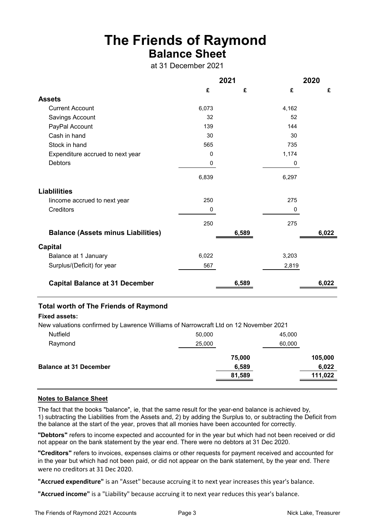# **The Friends of Raymond Balance Sheet**

at 31 December 2021

|                                              | 2021  |       |       | 2020  |
|----------------------------------------------|-------|-------|-------|-------|
|                                              | £     | £     | £     | £     |
| <b>Assets</b>                                |       |       |       |       |
| <b>Current Account</b>                       | 6,073 |       | 4,162 |       |
| Savings Account                              | 32    |       | 52    |       |
| PayPal Account                               | 139   |       | 144   |       |
| Cash in hand                                 | 30    |       | 30    |       |
| Stock in hand                                | 565   |       | 735   |       |
| Expenditure accrued to next year             | 0     |       | 1,174 |       |
| <b>Debtors</b>                               | 0     |       | 0     |       |
|                                              | 6,839 |       | 6,297 |       |
| <b>Liablilities</b>                          |       |       |       |       |
| lincome accrued to next year                 | 250   |       | 275   |       |
| Creditors                                    | 0     |       | 0     |       |
|                                              | 250   |       | 275   |       |
| <b>Balance (Assets minus Liabilities)</b>    |       | 6,589 |       | 6,022 |
| <b>Capital</b>                               |       |       |       |       |
| Balance at 1 January                         | 6,022 |       | 3,203 |       |
| Surplus/(Deficit) for year                   | 567   |       | 2,819 |       |
| <b>Capital Balance at 31 December</b>        |       | 6,589 |       | 6,022 |
| <b>Total worth of The Friends of Raymond</b> |       |       |       |       |

#### **Fixed assets:**

New valuations confirmed by Lawrence Williams of Narrowcraft Ltd on 12 November 2021

| Nutfield                      | 50,000 | 45,000  |
|-------------------------------|--------|---------|
| Raymond                       | 25,000 | 60,000  |
|                               | 75,000 | 105,000 |
| <b>Balance at 31 December</b> | 6,589  | 6,022   |
|                               | 81,589 | 111,022 |
|                               |        |         |

#### **Notes to Balance Sheet**

The fact that the books "balance", ie, that the same result for the year-end balance is achieved by, 1) subtracting the Liabilities from the Assets and, 2) by adding the Surplus to, or subtracting the Deficit from the balance at the start of the year, proves that all monies have been accounted for correctly.

**"Debtors"** refers to income expected and accounted for in the year but which had not been received or did not appear on the bank statement by the year end. There were no debtors at 31 Dec 2020.

**"Creditors"** refers to invoices, expenses claims or other requests for payment received and accounted for in the year but which had not been paid, or did not appear on the bank statement, by the year end. There were no creditors at 31 Dec 2020.

**"Accrued expenditure"** is an "Asset" because accruing it to next year increases this year's balance.

**"Accrued income"** is a "Liability" because accruing it to next year reduces this year's balance.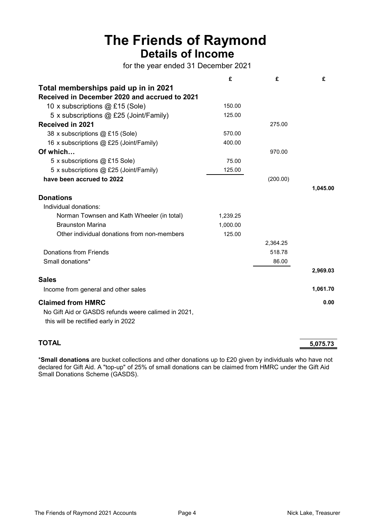# **The Friends of Raymond Details of Income**

for the year ended 31 December 2021

|                                                                                             | £        | £        | £        |
|---------------------------------------------------------------------------------------------|----------|----------|----------|
| Total memberships paid up in in 2021                                                        |          |          |          |
| Received in December 2020 and accrued to 2021                                               |          |          |          |
| 10 x subscriptions @ £15 (Sole)                                                             | 150.00   |          |          |
| 5 x subscriptions @ £25 (Joint/Family)                                                      | 125.00   |          |          |
| <b>Received in 2021</b>                                                                     |          | 275.00   |          |
| 38 x subscriptions @ £15 (Sole)                                                             | 570.00   |          |          |
| 16 x subscriptions @ £25 (Joint/Family)                                                     | 400.00   |          |          |
| Of which                                                                                    |          | 970.00   |          |
| 5 x subscriptions @ £15 Sole)                                                               | 75.00    |          |          |
| 5 x subscriptions @ £25 (Joint/Family)                                                      | 125.00   |          |          |
| have been accrued to 2022                                                                   |          | (200.00) |          |
|                                                                                             |          |          | 1,045.00 |
| <b>Donations</b>                                                                            |          |          |          |
| Individual donations:                                                                       |          |          |          |
| Norman Townsen and Kath Wheeler (in total)                                                  | 1,239.25 |          |          |
| <b>Braunston Marina</b>                                                                     | 1,000.00 |          |          |
| Other individual donations from non-members                                                 | 125.00   |          |          |
|                                                                                             |          | 2,364.25 |          |
| Donations from Friends                                                                      |          | 518.78   |          |
| Small donations*                                                                            |          | 86.00    |          |
|                                                                                             |          |          | 2,969.03 |
| <b>Sales</b>                                                                                |          |          |          |
| Income from general and other sales                                                         |          |          | 1,061.70 |
| <b>Claimed from HMRC</b>                                                                    |          |          | 0.00     |
| No Gift Aid or GASDS refunds weere calimed in 2021,<br>this will be rectified early in 2022 |          |          |          |
|                                                                                             |          |          |          |

**TOTAL 5,075.73**

\***Small donations** are bucket collections and other donations up to £20 given by individuals who have not declared for Gift Aid. A "top-up" of 25% of small donations can be claimed from HMRC under the Gift Aid Small Donations Scheme (GASDS).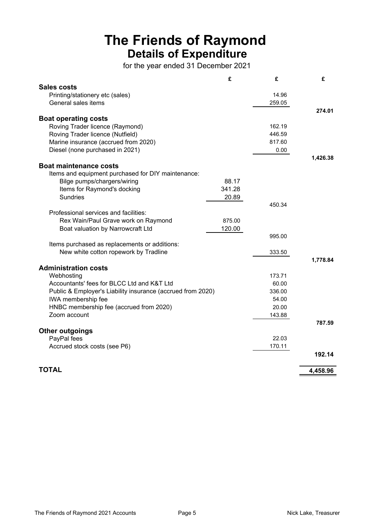# **The Friends of Raymond Details of Expenditure**

for the year ended 31 December 2021

|                                                             | £      | £      | £        |
|-------------------------------------------------------------|--------|--------|----------|
| <b>Sales costs</b>                                          |        |        |          |
| Printing/stationery etc (sales)                             |        | 14.96  |          |
| General sales items                                         |        | 259.05 |          |
|                                                             |        |        | 274.01   |
| <b>Boat operating costs</b>                                 |        |        |          |
| Roving Trader licence (Raymond)                             |        | 162.19 |          |
| Roving Trader licence (Nutfield)                            |        | 446.59 |          |
| Marine insurance (accrued from 2020)                        |        | 817.60 |          |
| Diesel (none purchased in 2021)                             |        | 0.00   |          |
|                                                             |        |        | 1,426.38 |
| <b>Boat maintenance costs</b>                               |        |        |          |
| Items and equipment purchased for DIY maintenance:          |        |        |          |
| Bilge pumps/chargers/wiring                                 | 88.17  |        |          |
| Items for Raymond's docking                                 | 341.28 |        |          |
| <b>Sundries</b>                                             | 20.89  |        |          |
|                                                             |        | 450.34 |          |
| Professional services and facilities:                       |        |        |          |
| Rex Wain/Paul Grave work on Raymond                         | 875.00 |        |          |
| Boat valuation by Narrowcraft Ltd                           | 120.00 |        |          |
|                                                             |        | 995.00 |          |
| Items purchased as replacements or additions:               |        |        |          |
| New white cotton ropework by Tradline                       |        | 333.50 |          |
|                                                             |        |        | 1,778.84 |
| <b>Administration costs</b>                                 |        |        |          |
| Webhosting                                                  |        | 173.71 |          |
| Accountants' fees for BLCC Ltd and K&T Ltd                  |        | 60.00  |          |
| Public & Employer's Liability insurance (accrued from 2020) |        | 336.00 |          |
| IWA membership fee                                          |        | 54.00  |          |
| HNBC membership fee (accrued from 2020)                     |        | 20.00  |          |
| Zoom account                                                |        | 143.88 |          |
|                                                             |        |        | 787.59   |
| <b>Other outgoings</b>                                      |        |        |          |
| PayPal fees                                                 |        | 22.03  |          |
| Accrued stock costs (see P6)                                |        | 170.11 |          |
|                                                             |        |        | 192.14   |
|                                                             |        |        |          |
| <b>TOTAL</b>                                                |        |        |          |
|                                                             |        |        | 4,458.96 |